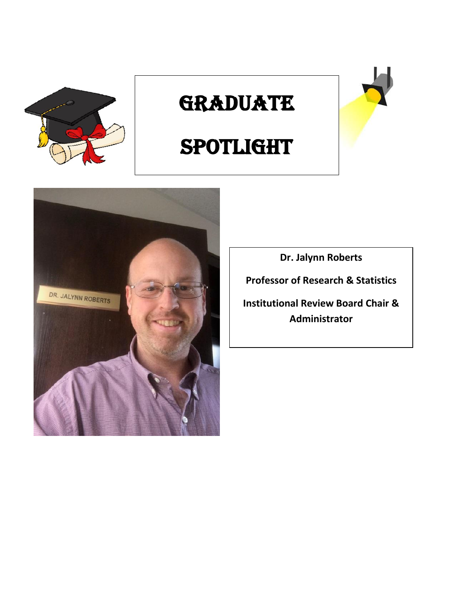

## **GRADUATE**





**Dr. Jalynn Roberts**

**Professor of Research & Statistics**

**Institutional Review Board Chair & Administrator**